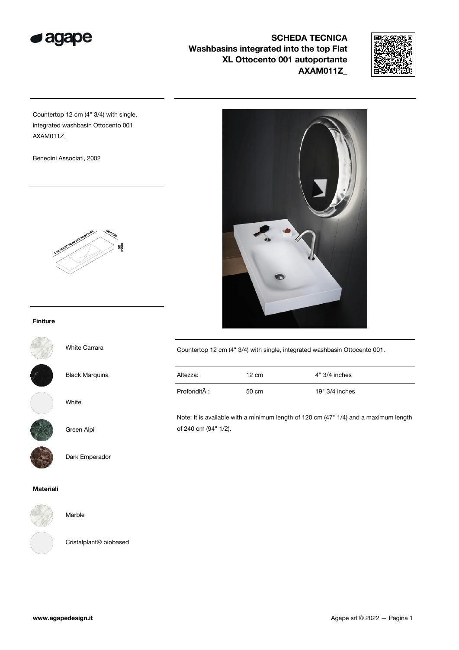



Countertop 12 cm (4" 3/4) with single, integrated washbasin Ottocento 001 AXAM011Z\_

Benedini Associati, 2002



## Finiture



White Carrara

Black Marquina

White



## Green Alpi

Dark Emperador

### Materiali



Marble

Cristalplant® biobased

| Countertop 12 cm (4" 3/4) with single, integrated washbasin Ottocento 001. |
|----------------------------------------------------------------------------|
|                                                                            |

| Altezza:     | 12 cm | $4" 3/4$ inches  |
|--------------|-------|------------------|
| Profondità : | 50 cm | $19" 3/4$ inches |

Note: It is available with a minimum length of 120 cm (47" 1/4) and a maximum length of 240 cm (94" 1/2).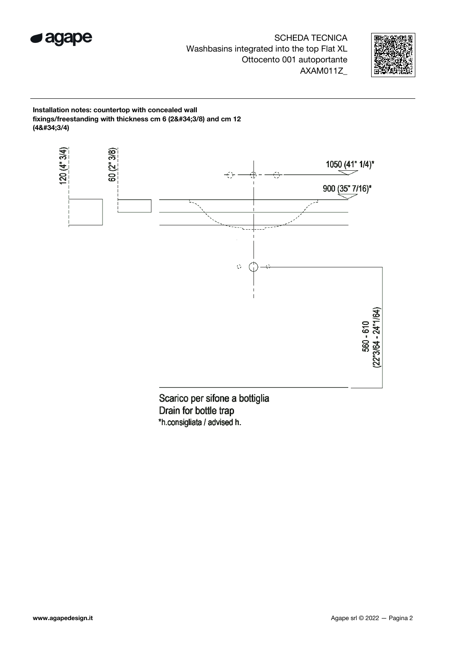



Installation notes: countertop with concealed wall fixings/freestanding with thickness cm 6 (2"3/8) and cm 12  $(48#34;3/4)$ 



Drain for bottle trap \*h.consigliata / advised h.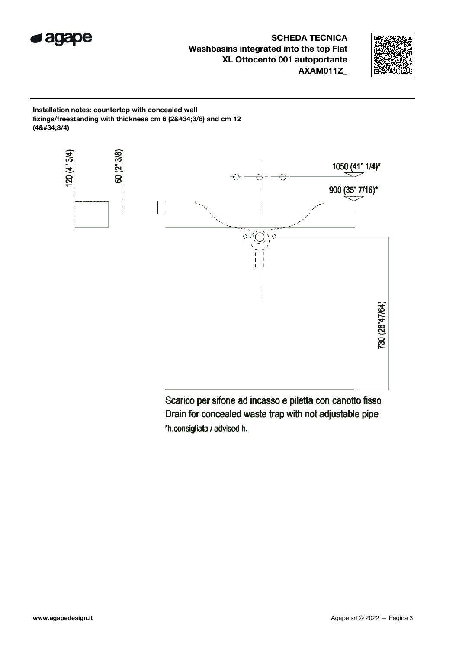



Installation notes: countertop with concealed wall fixings/freestanding with thickness cm  $6$  (2"3/8) and cm 12  $(48#34;3/4)$ 



Scarico per sifone ad incasso e piletta con canotto fisso Drain for concealed waste trap with not adjustable pipe \*h.consigliata / advised h.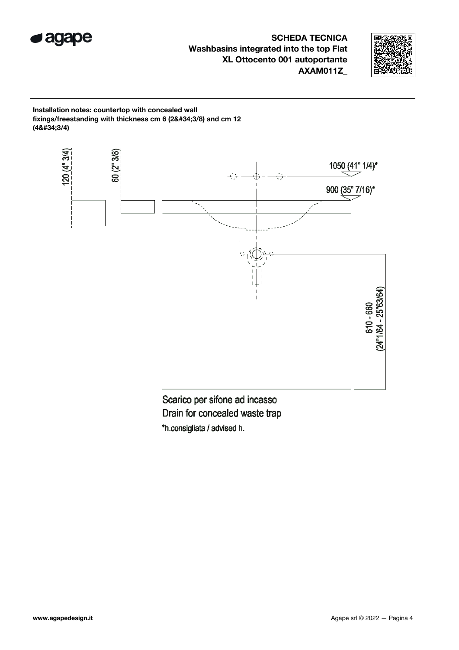



Installation notes: countertop with concealed wall fixings/freestanding with thickness cm  $6$  (2"3/8) and cm 12  $(48#34;3/4)$ 



Scarico per sifone ad incasso Drain for concealed waste trap \*h.consigliata / advised h.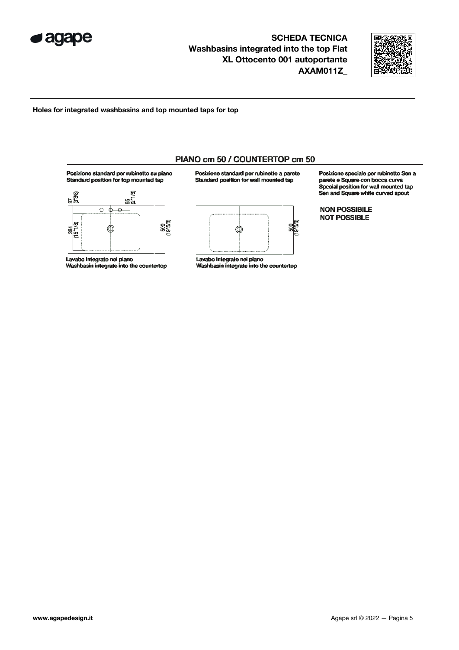



Holes for integrated washbasins and top mounted taps for top



Lavabo integrato nel piano Washbasin integrate into the countertop

Posizione standard per rubinetto a parete Standard position for wall mounted tap



Lavabo integrato nel piano Washbasin integrate into the countertop Posizione speciale per rubinetto Sen a parete e Square con bocca curva Special position for wall mounted tap Sen and Square white curved spout

**NON POSSIBILE NOT POSSIBLE**